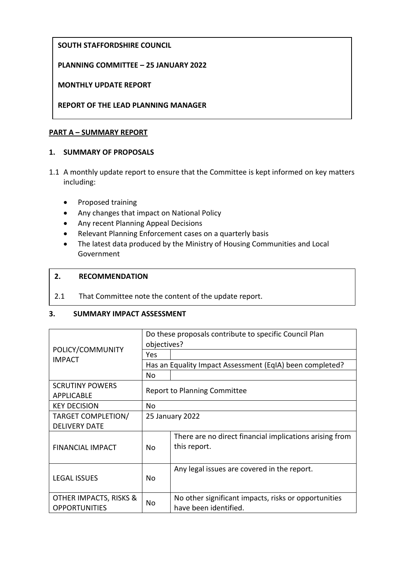# **SOUTH STAFFORDSHIRE COUNCIL**

## **PLANNING COMMITTEE – 25 JANUARY 2022**

#### **MONTHLY UPDATE REPORT**

## **REPORT OF THE LEAD PLANNING MANAGER**

### **PART A – SUMMARY REPORT**

#### **1. SUMMARY OF PROPOSALS**

- 1.1 A monthly update report to ensure that the Committee is kept informed on key matters including:
	- Proposed training
	- Any changes that impact on National Policy
	- Any recent Planning Appeal Decisions
	- Relevant Planning Enforcement cases on a quarterly basis
	- The latest data produced by the Ministry of Housing Communities and Local Government

#### **2. RECOMMENDATION**

2.1 That Committee note the content of the update report.

#### **3. SUMMARY IMPACT ASSESSMENT**

| POLICY/COMMUNITY<br><b>IMPACT</b>              | Do these proposals contribute to specific Council Plan<br>objectives? |                                                                               |
|------------------------------------------------|-----------------------------------------------------------------------|-------------------------------------------------------------------------------|
|                                                | Yes                                                                   |                                                                               |
|                                                | Has an Equality Impact Assessment (EqIA) been completed?              |                                                                               |
|                                                | No                                                                    |                                                                               |
| <b>SCRUTINY POWERS</b>                         | <b>Report to Planning Committee</b>                                   |                                                                               |
| <b>APPLICABLE</b>                              |                                                                       |                                                                               |
| <b>KEY DECISION</b>                            | No                                                                    |                                                                               |
| <b>TARGET COMPLETION/</b>                      | 25 January 2022                                                       |                                                                               |
| <b>DELIVERY DATE</b>                           |                                                                       |                                                                               |
| <b>FINANCIAL IMPACT</b>                        | N <sub>0</sub>                                                        | There are no direct financial implications arising from<br>this report.       |
| <b>LEGAL ISSUES</b>                            | No.                                                                   | Any legal issues are covered in the report.                                   |
| OTHER IMPACTS, RISKS &<br><b>OPPORTUNITIES</b> | No.                                                                   | No other significant impacts, risks or opportunities<br>have been identified. |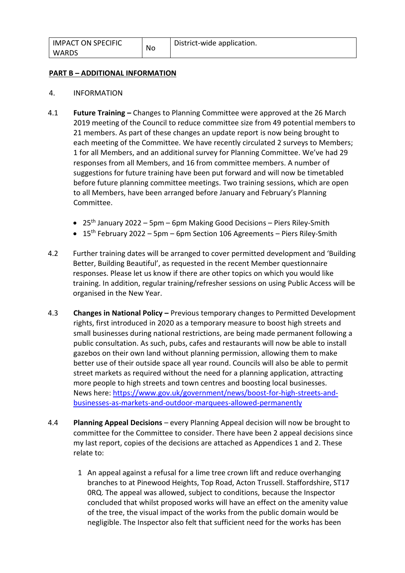#### **PART B – ADDITIONAL INFORMATION**

- 4. INFORMATION
- 4.1 **Future Training –** Changes to Planning Committee were approved at the 26 March 2019 meeting of the Council to reduce committee size from 49 potential members to 21 members. As part of these changes an update report is now being brought to each meeting of the Committee. We have recently circulated 2 surveys to Members; 1 for all Members, and an additional survey for Planning Committee. We've had 29 responses from all Members, and 16 from committee members. A number of suggestions for future training have been put forward and will now be timetabled before future planning committee meetings. Two training sessions, which are open to all Members, have been arranged before January and February's Planning Committee.
	- $\bullet$  25<sup>th</sup> January 2022 5pm 6pm Making Good Decisions Piers Riley-Smith
	- $\bullet$  15<sup>th</sup> February 2022 5pm 6pm Section 106 Agreements Piers Riley-Smith
- 4.2 Further training dates will be arranged to cover permitted development and 'Building Better, Building Beautiful', as requested in the recent Member questionnaire responses. Please let us know if there are other topics on which you would like training. In addition, regular training/refresher sessions on using Public Access will be organised in the New Year.
- 4.3 **Changes in National Policy –** Previous temporary changes to Permitted Development rights, first introduced in 2020 as a temporary measure to boost high streets and small businesses during national restrictions, are being made permanent following a public consultation. As such, pubs, cafes and restaurants will now be able to install gazebos on their own land without planning permission, allowing them to make better use of their outside space all year round. Councils will also be able to permit street markets as required without the need for a planning application, attracting more people to high streets and town centres and boosting local businesses. News here: [https://www.gov.uk/government/news/boost-for-high-streets-and](https://www.gov.uk/government/news/boost-for-high-streets-and-businesses-as-markets-and-outdoor-marquees-allowed-permanently)[businesses-as-markets-and-outdoor-marquees-allowed-permanently](https://www.gov.uk/government/news/boost-for-high-streets-and-businesses-as-markets-and-outdoor-marquees-allowed-permanently)
- 4.4 **Planning Appeal Decisions** every Planning Appeal decision will now be brought to committee for the Committee to consider. There have been 2 appeal decisions since my last report, copies of the decisions are attached as Appendices 1 and 2. These relate to:
	- 1 An appeal against a refusal for a lime tree crown lift and reduce overhanging branches to at Pinewood Heights, Top Road, Acton Trussell. Staffordshire, ST17 0RQ. The appeal was allowed, subject to conditions, because the Inspector concluded that whilst proposed works will have an effect on the amenity value of the tree, the visual impact of the works from the public domain would be negligible. The Inspector also felt that sufficient need for the works has been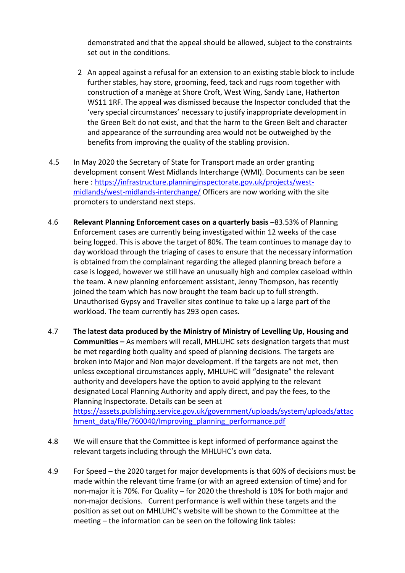demonstrated and that the appeal should be allowed, subject to the constraints set out in the conditions.

- 2 An appeal against a refusal for an extension to an existing stable block to include further stables, hay store, grooming, feed, tack and rugs room together with construction of a manège at Shore Croft, West Wing, Sandy Lane, Hatherton WS11 1RF. The appeal was dismissed because the Inspector concluded that the 'very special circumstances' necessary to justify inappropriate development in the Green Belt do not exist, and that the harm to the Green Belt and character and appearance of the surrounding area would not be outweighed by the benefits from improving the quality of the stabling provision.
- 4.5 In May 2020 the Secretary of State for Transport made an order granting development consent West Midlands Interchange (WMI). Documents can be seen here : [https://infrastructure.planninginspectorate.gov.uk/projects/west](https://infrastructure.planninginspectorate.gov.uk/projects/west-midlands/west-midlands-interchange/)[midlands/west-midlands-interchange/](https://infrastructure.planninginspectorate.gov.uk/projects/west-midlands/west-midlands-interchange/) Officers are now working with the site promoters to understand next steps.
- 4.6 **Relevant Planning Enforcement cases on a quarterly basis** –83.53% of Planning Enforcement cases are currently being investigated within 12 weeks of the case being logged. This is above the target of 80%. The team continues to manage day to day workload through the triaging of cases to ensure that the necessary information is obtained from the complainant regarding the alleged planning breach before a case is logged, however we still have an unusually high and complex caseload within the team. A new planning enforcement assistant, Jenny Thompson, has recently joined the team which has now brought the team back up to full strength. Unauthorised Gypsy and Traveller sites continue to take up a large part of the workload. The team currently has 293 open cases.
- 4.7 **The latest data produced by the Ministry of Ministry of Levelling Up, Housing and Communities –** As members will recall, MHLUHC sets designation targets that must be met regarding both quality and speed of planning decisions. The targets are broken into Major and Non major development. If the targets are not met, then unless exceptional circumstances apply, MHLUHC will "designate" the relevant authority and developers have the option to avoid applying to the relevant designated Local Planning Authority and apply direct, and pay the fees, to the Planning Inspectorate. Details can be seen at [https://assets.publishing.service.gov.uk/government/uploads/system/uploads/attac](https://assets.publishing.service.gov.uk/government/uploads/system/uploads/attachment_data/file/760040/Improving_planning_performance.pdf) hment\_data/file/760040/Improving\_planning\_performance.pdf
- 4.8 We will ensure that the Committee is kept informed of performance against the relevant targets including through the MHLUHC's own data.
- 4.9 For Speed the 2020 target for major developments is that 60% of decisions must be made within the relevant time frame (or with an agreed extension of time) and for non-major it is 70%. For Quality – for 2020 the threshold is 10% for both major and non-major decisions. Current performance is well within these targets and the position as set out on MHLUHC's website will be shown to the Committee at the meeting – the information can be seen on the following link tables: